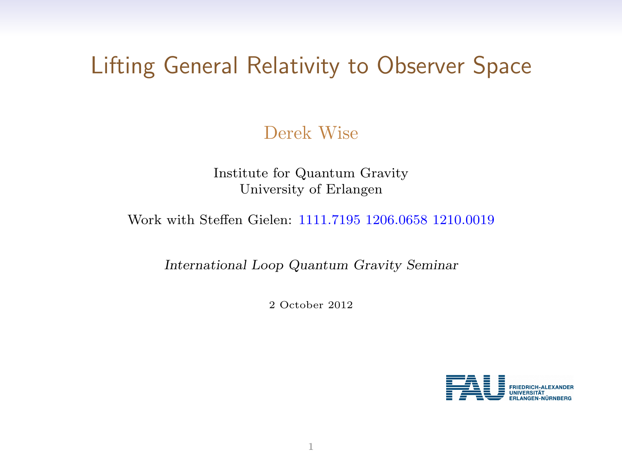# Lifting General Relativity to Observer Space

Derek Wise

Institute for Quantum Gravity University of Erlangen

Work with Steffen Gielen: 1111.7195 1206.0658 1210.0019

International Loop Quantum Gravity Seminar

2 October 2012

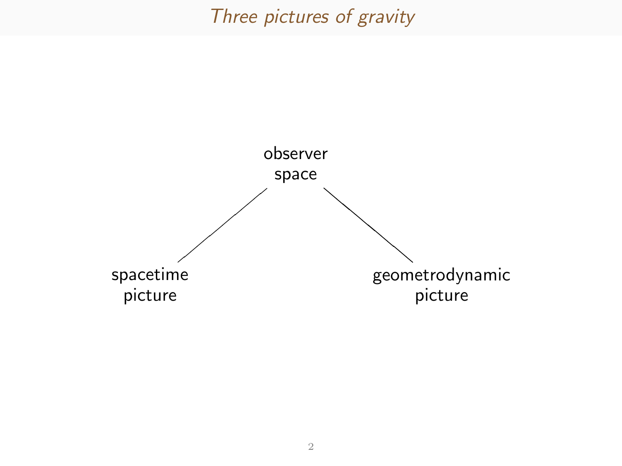### Three pictures of gravity

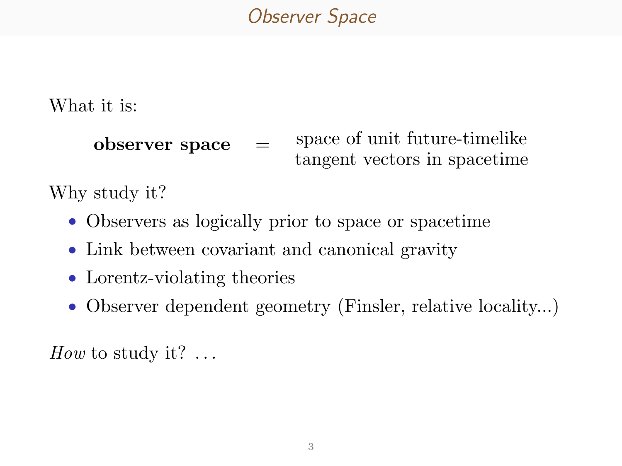# Observer Space

What it is:

```
observer space = space of unit future-timelike
                      tangent vectors in spacetime
```
Why study it?

- Observers as logically prior to space or spacetime
- Link between covariant and canonical gravity
- Lorentz-violating theories
- Observer dependent geometry (Finsler, relative locality...)

How to study it?  $\dots$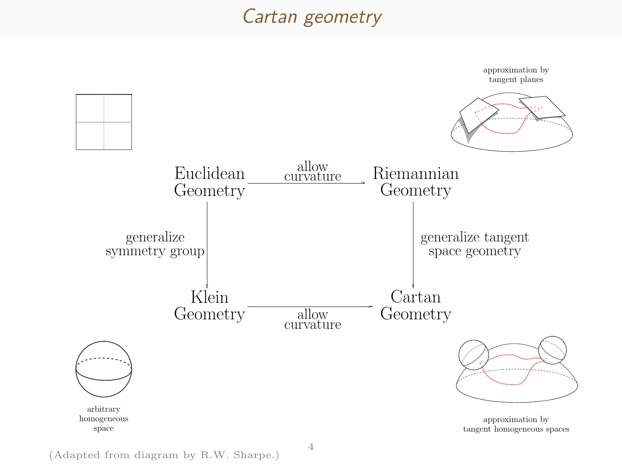### Cartan geometry



(Adapted from diagram by R.W. Sharpe.)

4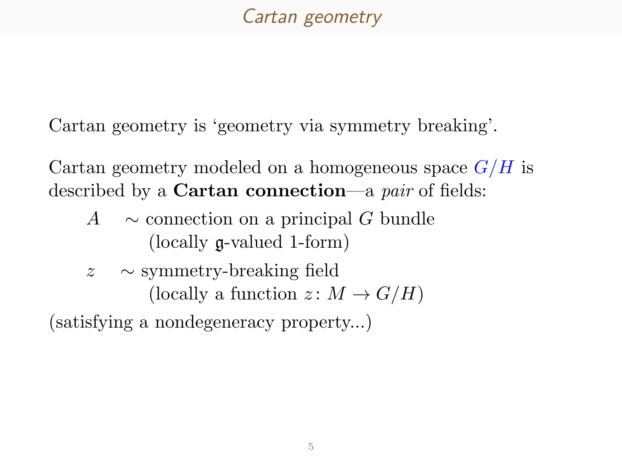# Cartan geometry

Cartan geometry is 'geometry via symmetry breaking'.

Cartan geometry modeled on a homogeneous space  $G/H$  is described by a Cartan connection—a pair of fields:

- A  $\sim$  connection on a principal G bundle (locally g-valued 1-form)
- z ∼ symmetry-breaking field (locally a function  $z: M \to G/H$ )

(satisfying a nondegeneracy property...)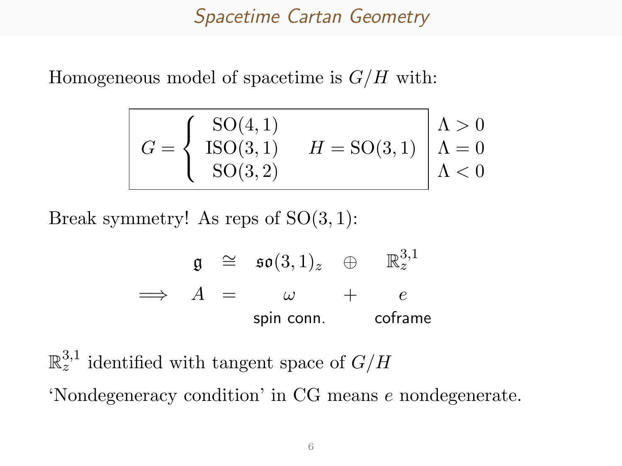## Spacetime Cartan Geometry

Homogeneous model of spacetime is  $G/H$  with:

$$
G = \begin{cases} \text{SO}(4,1) \\ \text{ISO}(3,1) \\ \text{SO}(3,2) \end{cases} \quad H = \text{SO}(3,1) \quad \begin{cases} \Lambda > 0 \\ \Lambda = 0 \\ \Lambda < 0 \end{cases}
$$

Break symmetry! As reps of  $SO(3,1)$ :

$$
\begin{array}{rcl}\n\mathfrak{g} & \cong & \mathfrak{so}(3,1)_z & \oplus & \mathbb{R}^{3,1}_z \\
\implies & A & = & \omega & + & e \\
\text{spin conn.} & \text{coframe}\n\end{array}
$$

 $\mathbb{R}_z^{3,1}$  identified with tangent space of  $G/H$ 'Nondegeneracy condition' in CG means e nondegenerate.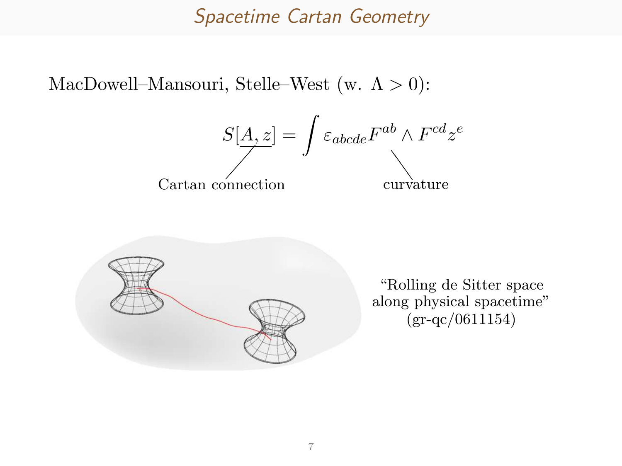#### Spacetime Cartan Geometry

MacDowell–Mansouri, Stelle–West (w.  $\Lambda > 0$ ):





"Rolling de Sitter space along physical spacetime" [\(gr-qc/0611154\)](http://arxiv.org/abs/gr-qc/0611154/)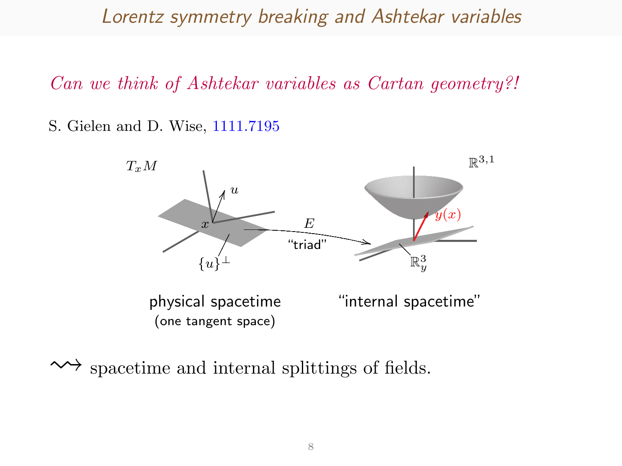Lorentz symmetry breaking and Ashtekar variables

Can we think of Ashtekar variables as Cartan geometry?!

S. Gielen and D. Wise, [1111.7195](http://arxiv.org/abs/1111.7195/)



 $\rightsquigarrow$  spacetime and internal splittings of fields.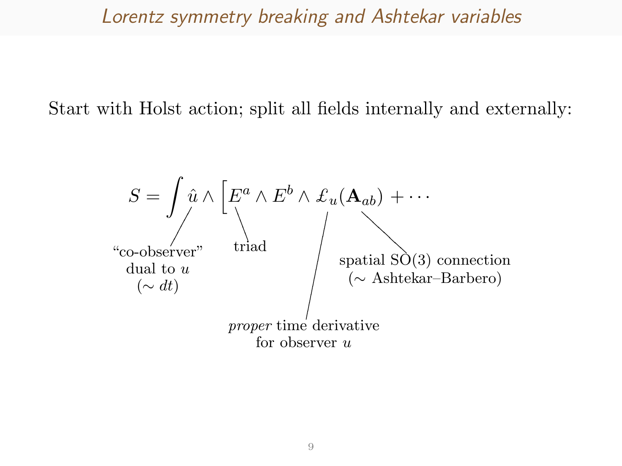### Lorentz symmetry breaking and Ashtekar variables

Start with Holst action; split all fields internally and externally:

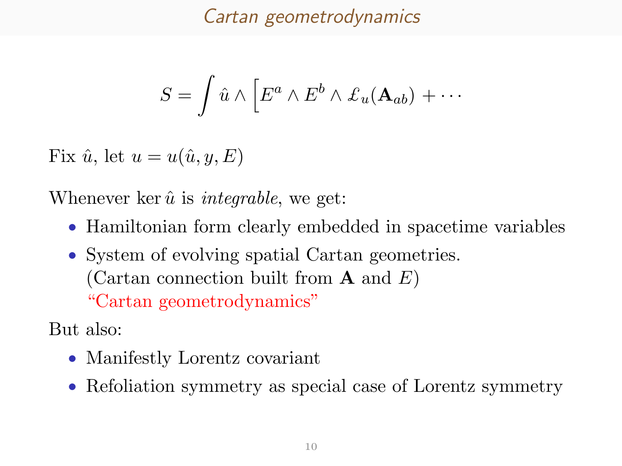Cartan geometrodynamics

$$
S = \int \hat{u} \wedge \left[ E^a \wedge E^b \wedge \mathcal{L}_u(\mathbf{A}_{ab}) + \cdots \right]
$$

Fix  $\hat{u}$ , let  $u = u(\hat{u}, y, E)$ 

Whenever ker  $\hat{u}$  is *integrable*, we get:

- Hamiltonian form clearly embedded in spacetime variables
- System of evolving spatial Cartan geometries. (Cartan connection built from **A** and  $E$ ) "Cartan geometrodynamics"

But also:

- Manifestly Lorentz covariant
- Refoliation symmetry as special case of Lorentz symmetry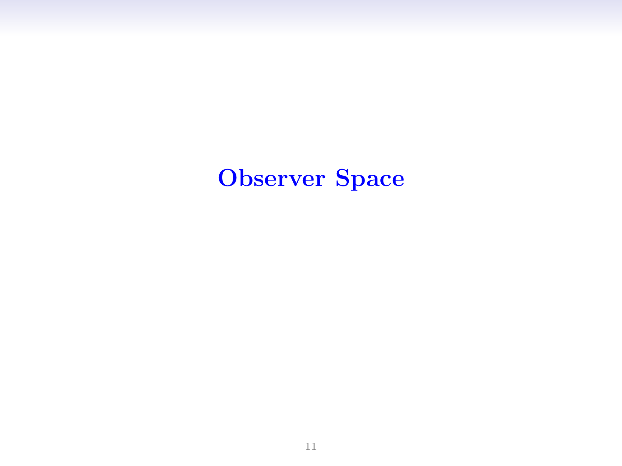# Observer Space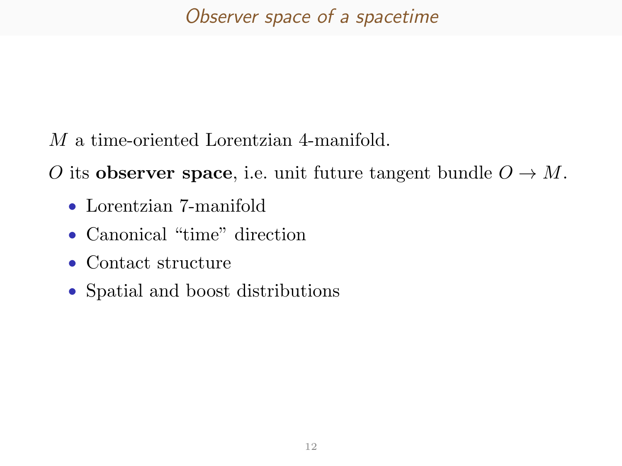M a time-oriented Lorentzian 4-manifold.

O its observer space, i.e. unit future tangent bundle  $O \to M$ .

- Lorentzian 7-manifold
- Canonical "time" direction
- Contact structure
- Spatial and boost distributions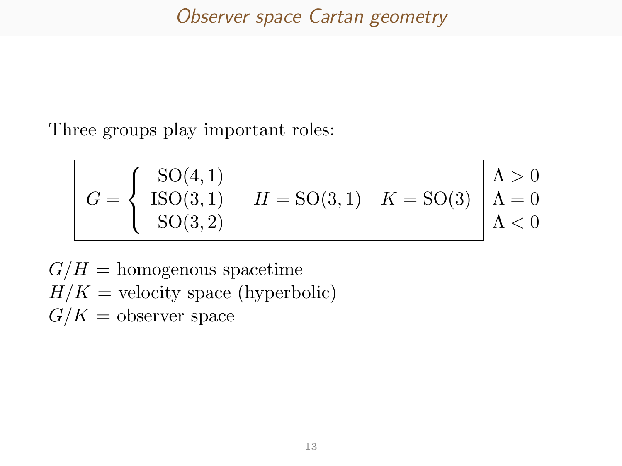Three groups play important roles:

$$
G = \begin{cases} \text{SO}(4,1) \\ \text{ISO}(3,1) \\ \text{SO}(3,2) \end{cases} \quad H = \text{SO}(3,1) \quad K = \text{SO}(3) \quad \begin{cases} \Lambda > 0 \\ \Lambda = 0 \\ \Lambda < 0 \end{cases}
$$

 $G/H =$  homogenous spacetime  $H/K =$  velocity space (hyperbolic)  $G/K =$  observer space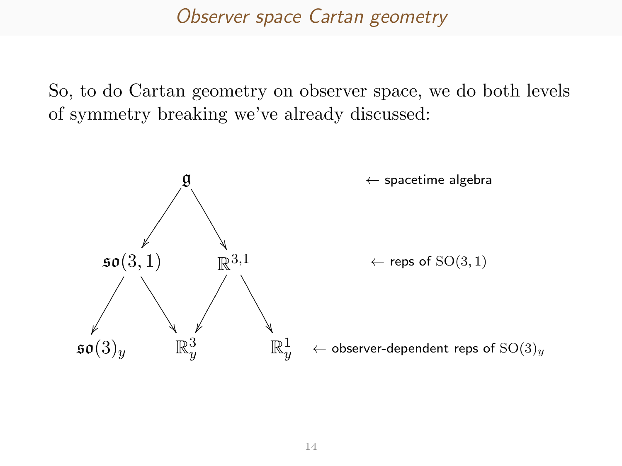#### Observer space Cartan geometry

So, to do Cartan geometry on observer space, we do both levels of symmetry breaking we've already discussed:

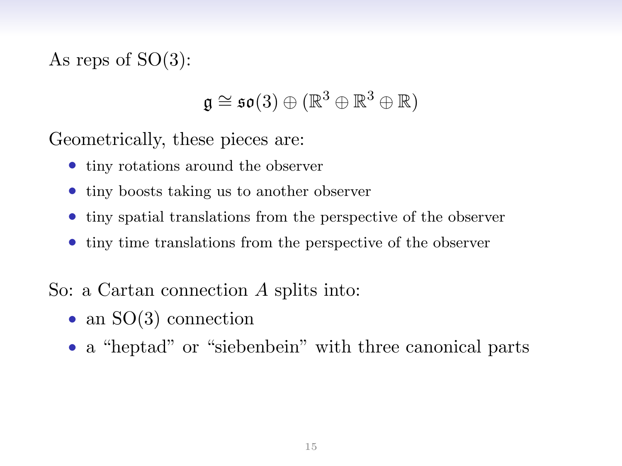As reps of  $SO(3)$ :

$$
\mathfrak{g}\cong\mathfrak{so}(3)\oplus(\mathbb{R}^3\oplus\mathbb{R}^3\oplus\mathbb{R})
$$

Geometrically, these pieces are:

- tiny rotations around the observer
- tiny boosts taking us to another observer
- tiny spatial translations from the perspective of the observer
- tiny time translations from the perspective of the observer

So: a Cartan connection A splits into:

- an SO(3) connection
- a "heptad" or "siebenbein" with three canonical parts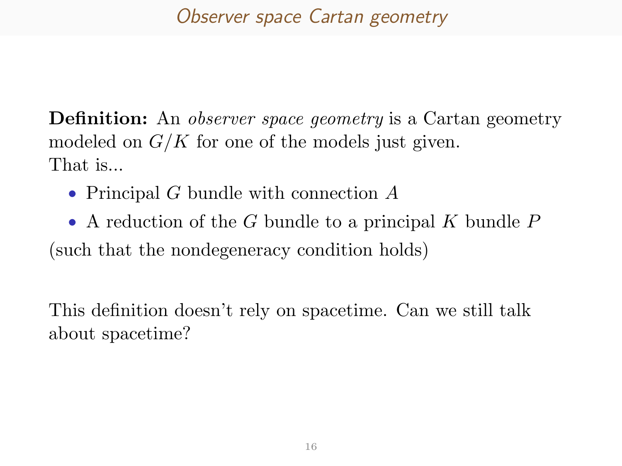# Observer space Cartan geometry

**Definition:** An *observer space geometry* is a Cartan geometry modeled on  $G/K$  for one of the models just given. That is...

• Principal G bundle with connection A

• A reduction of the G bundle to a principal K bundle  $P$ (such that the nondegeneracy condition holds)

This definition doesn't rely on spacetime. Can we still talk about spacetime?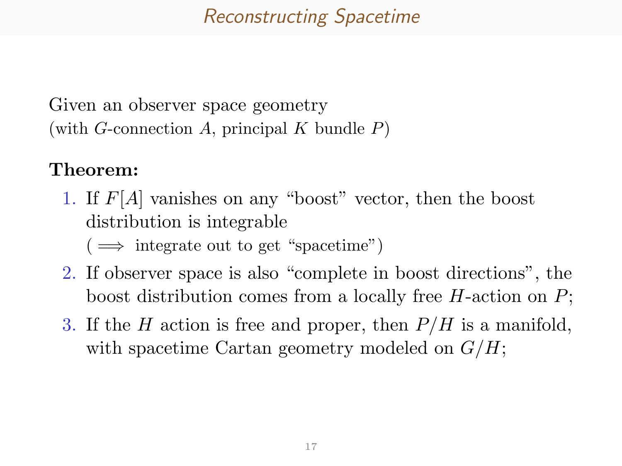# Reconstructing Spacetime

Given an observer space geometry (with G-connection A, principal K bundle  $P$ )

#### Theorem:

1. If F[A] vanishes on any "boost" vector, then the boost distribution is integrable

 $(\implies)$  integrate out to get "spacetime")

- 2. If observer space is also "complete in boost directions", the boost distribution comes from a locally free H-action on P;
- 3. If the H action is free and proper, then  $P/H$  is a manifold, with spacetime Cartan geometry modeled on  $G/H$ ;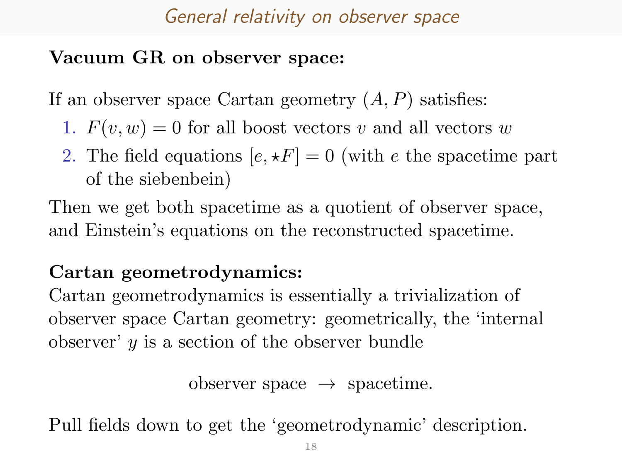# General relativity on observer space

## Vacuum GR on observer space:

If an observer space Cartan geometry  $(A, P)$  satisfies:

- 1.  $F(v, w) = 0$  for all boost vectors v and all vectors w
- 2. The field equations  $[e, \star F] = 0$  (with e the spacetime part of the siebenbein)

Then we get both spacetime as a quotient of observer space, and Einstein's equations on the reconstructed spacetime.

## Cartan geometrodynamics:

Cartan geometrodynamics is essentially a trivialization of observer space Cartan geometry: geometrically, the 'internal observer'  $y$  is a section of the observer bundle

```
observer space \rightarrow spacetime.
```
Pull fields down to get the 'geometrodynamic' description.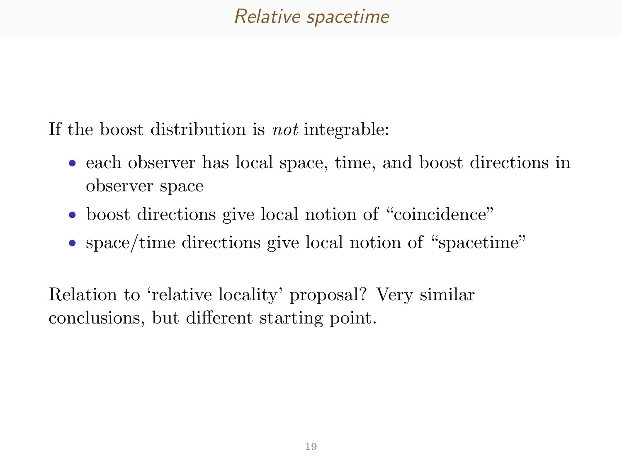## Relative spacetime

If the boost distribution is not integrable:

- each observer has local space, time, and boost directions in observer space
- boost directions give local notion of "coincidence"
- space/time directions give local notion of "spacetime"

Relation to 'relative locality' proposal? Very similar conclusions, but different starting point.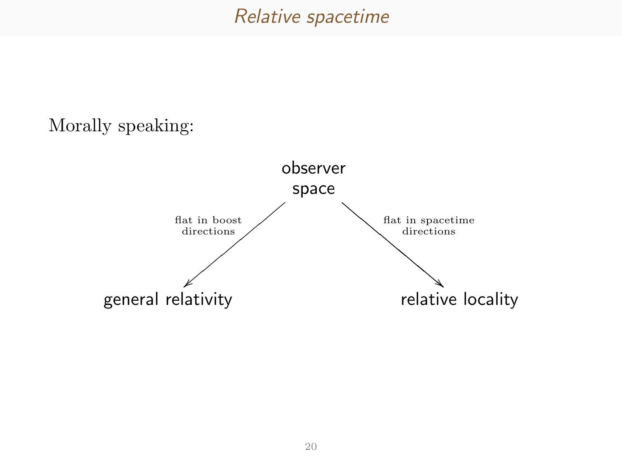#### Relative spacetime

#### Morally speaking: